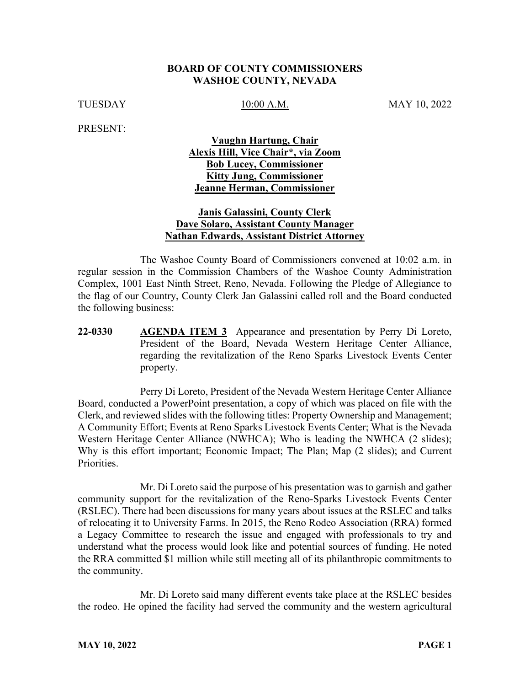#### **BOARD OF COUNTY COMMISSIONERS WASHOE COUNTY, NEVADA**

TUESDAY 10.00 A.M. MAY 10, 2022

PRESENT:

### **Vaughn Hartung, Chair Alexis Hill, Vice Chair\*, via Zoom Bob Lucey, Commissioner Kitty Jung, Commissioner Jeanne Herman, Commissioner**

### **Janis Galassini, County Clerk Dave Solaro, Assistant County Manager Nathan Edwards, Assistant District Attorney**

The Washoe County Board of Commissioners convened at 10:02 a.m. in regular session in the Commission Chambers of the Washoe County Administration Complex, 1001 East Ninth Street, Reno, Nevada. Following the Pledge of Allegiance to the flag of our Country, County Clerk Jan Galassini called roll and the Board conducted the following business:

**22-0330 AGENDA ITEM 3** Appearance and presentation by Perry Di Loreto, President of the Board, Nevada Western Heritage Center Alliance, regarding the revitalization of the Reno Sparks Livestock Events Center property.

Perry Di Loreto, President of the Nevada Western Heritage Center Alliance Board, conducted a PowerPoint presentation, a copy of which was placed on file with the Clerk, and reviewed slides with the following titles: Property Ownership and Management; A Community Effort; Events at Reno Sparks Livestock Events Center; What is the Nevada Western Heritage Center Alliance (NWHCA); Who is leading the NWHCA (2 slides); Why is this effort important; Economic Impact; The Plan; Map (2 slides); and Current Priorities.

Mr. Di Loreto said the purpose of his presentation was to garnish and gather community support for the revitalization of the Reno-Sparks Livestock Events Center (RSLEC). There had been discussions for many years about issues at the RSLEC and talks of relocating it to University Farms. In 2015, the Reno Rodeo Association (RRA) formed a Legacy Committee to research the issue and engaged with professionals to try and understand what the process would look like and potential sources of funding. He noted the RRA committed \$1 million while still meeting all of its philanthropic commitments to the community.

Mr. Di Loreto said many different events take place at the RSLEC besides the rodeo. He opined the facility had served the community and the western agricultural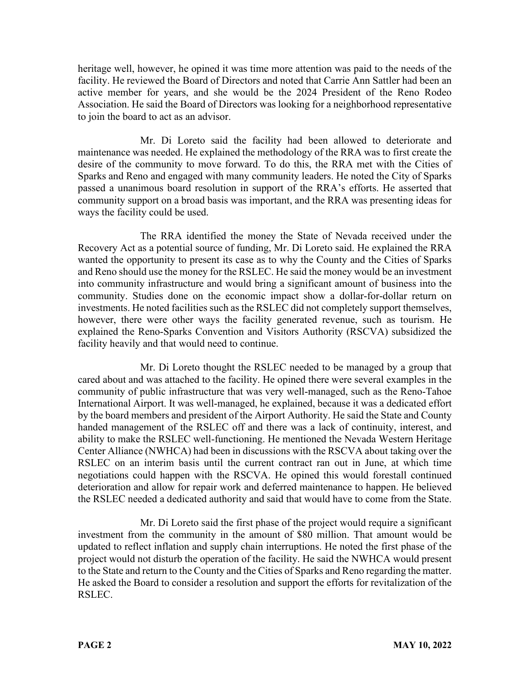heritage well, however, he opined it was time more attention was paid to the needs of the facility. He reviewed the Board of Directors and noted that Carrie Ann Sattler had been an active member for years, and she would be the 2024 President of the Reno Rodeo Association. He said the Board of Directors was looking for a neighborhood representative to join the board to act as an advisor.

Mr. Di Loreto said the facility had been allowed to deteriorate and maintenance was needed. He explained the methodology of the RRA was to first create the desire of the community to move forward. To do this, the RRA met with the Cities of Sparks and Reno and engaged with many community leaders. He noted the City of Sparks passed a unanimous board resolution in support of the RRA's efforts. He asserted that community support on a broad basis was important, and the RRA was presenting ideas for ways the facility could be used.

The RRA identified the money the State of Nevada received under the Recovery Act as a potential source of funding, Mr. Di Loreto said. He explained the RRA wanted the opportunity to present its case as to why the County and the Cities of Sparks and Reno should use the money for the RSLEC. He said the money would be an investment into community infrastructure and would bring a significant amount of business into the community. Studies done on the economic impact show a dollar-for-dollar return on investments. He noted facilities such as the RSLEC did not completely support themselves, however, there were other ways the facility generated revenue, such as tourism. He explained the Reno-Sparks Convention and Visitors Authority (RSCVA) subsidized the facility heavily and that would need to continue.

Mr. Di Loreto thought the RSLEC needed to be managed by a group that cared about and was attached to the facility. He opined there were several examples in the community of public infrastructure that was very well-managed, such as the Reno-Tahoe International Airport. It was well-managed, he explained, because it was a dedicated effort by the board members and president of the Airport Authority. He said the State and County handed management of the RSLEC off and there was a lack of continuity, interest, and ability to make the RSLEC well-functioning. He mentioned the Nevada Western Heritage Center Alliance (NWHCA) had been in discussions with the RSCVA about taking over the RSLEC on an interim basis until the current contract ran out in June, at which time negotiations could happen with the RSCVA. He opined this would forestall continued deterioration and allow for repair work and deferred maintenance to happen. He believed the RSLEC needed a dedicated authority and said that would have to come from the State.

Mr. Di Loreto said the first phase of the project would require a significant investment from the community in the amount of \$80 million. That amount would be updated to reflect inflation and supply chain interruptions. He noted the first phase of the project would not disturb the operation of the facility. He said the NWHCA would present to the State and return to the County and the Cities of Sparks and Reno regarding the matter. He asked the Board to consider a resolution and support the efforts for revitalization of the RSLEC.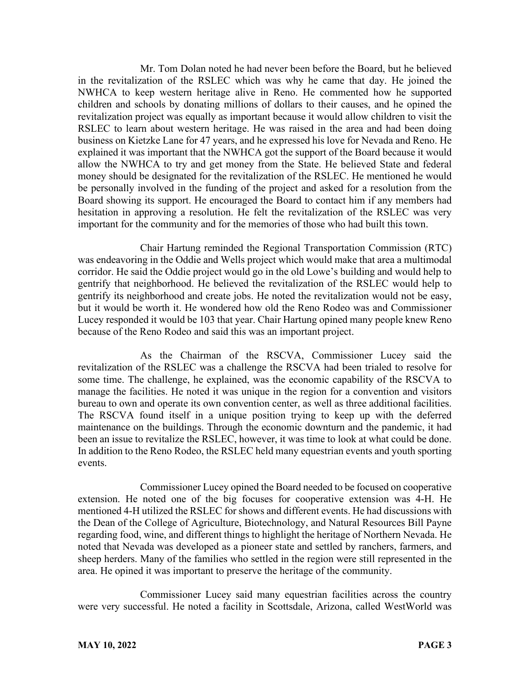Mr. Tom Dolan noted he had never been before the Board, but he believed in the revitalization of the RSLEC which was why he came that day. He joined the NWHCA to keep western heritage alive in Reno. He commented how he supported children and schools by donating millions of dollars to their causes, and he opined the revitalization project was equally as important because it would allow children to visit the RSLEC to learn about western heritage. He was raised in the area and had been doing business on Kietzke Lane for 47 years, and he expressed his love for Nevada and Reno. He explained it was important that the NWHCA got the support of the Board because it would allow the NWHCA to try and get money from the State. He believed State and federal money should be designated for the revitalization of the RSLEC. He mentioned he would be personally involved in the funding of the project and asked for a resolution from the Board showing its support. He encouraged the Board to contact him if any members had hesitation in approving a resolution. He felt the revitalization of the RSLEC was very important for the community and for the memories of those who had built this town.

Chair Hartung reminded the Regional Transportation Commission (RTC) was endeavoring in the Oddie and Wells project which would make that area a multimodal corridor. He said the Oddie project would go in the old Lowe's building and would help to gentrify that neighborhood. He believed the revitalization of the RSLEC would help to gentrify its neighborhood and create jobs. He noted the revitalization would not be easy, but it would be worth it. He wondered how old the Reno Rodeo was and Commissioner Lucey responded it would be 103 that year. Chair Hartung opined many people knew Reno because of the Reno Rodeo and said this was an important project.

As the Chairman of the RSCVA, Commissioner Lucey said the revitalization of the RSLEC was a challenge the RSCVA had been trialed to resolve for some time. The challenge, he explained, was the economic capability of the RSCVA to manage the facilities. He noted it was unique in the region for a convention and visitors bureau to own and operate its own convention center, as well as three additional facilities. The RSCVA found itself in a unique position trying to keep up with the deferred maintenance on the buildings. Through the economic downturn and the pandemic, it had been an issue to revitalize the RSLEC, however, it was time to look at what could be done. In addition to the Reno Rodeo, the RSLEC held many equestrian events and youth sporting events.

Commissioner Lucey opined the Board needed to be focused on cooperative extension. He noted one of the big focuses for cooperative extension was 4-H. He mentioned 4-H utilized the RSLEC for shows and different events. He had discussions with the Dean of the College of Agriculture, Biotechnology, and Natural Resources Bill Payne regarding food, wine, and different things to highlight the heritage of Northern Nevada. He noted that Nevada was developed as a pioneer state and settled by ranchers, farmers, and sheep herders. Many of the families who settled in the region were still represented in the area. He opined it was important to preserve the heritage of the community.

Commissioner Lucey said many equestrian facilities across the country were very successful. He noted a facility in Scottsdale, Arizona, called WestWorld was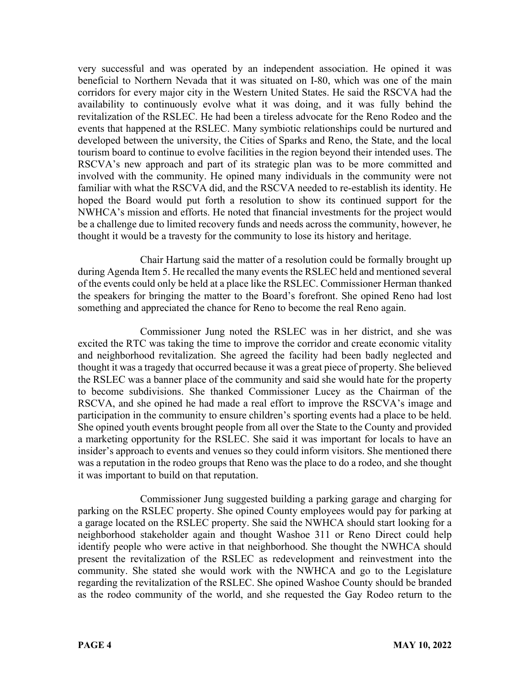very successful and was operated by an independent association. He opined it was beneficial to Northern Nevada that it was situated on I-80, which was one of the main corridors for every major city in the Western United States. He said the RSCVA had the availability to continuously evolve what it was doing, and it was fully behind the revitalization of the RSLEC. He had been a tireless advocate for the Reno Rodeo and the events that happened at the RSLEC. Many symbiotic relationships could be nurtured and developed between the university, the Cities of Sparks and Reno, the State, and the local tourism board to continue to evolve facilities in the region beyond their intended uses. The RSCVA's new approach and part of its strategic plan was to be more committed and involved with the community. He opined many individuals in the community were not familiar with what the RSCVA did, and the RSCVA needed to re-establish its identity. He hoped the Board would put forth a resolution to show its continued support for the NWHCA's mission and efforts. He noted that financial investments for the project would be a challenge due to limited recovery funds and needs across the community, however, he thought it would be a travesty for the community to lose its history and heritage.

Chair Hartung said the matter of a resolution could be formally brought up during Agenda Item 5. He recalled the many events the RSLEC held and mentioned several of the events could only be held at a place like the RSLEC. Commissioner Herman thanked the speakers for bringing the matter to the Board's forefront. She opined Reno had lost something and appreciated the chance for Reno to become the real Reno again.

Commissioner Jung noted the RSLEC was in her district, and she was excited the RTC was taking the time to improve the corridor and create economic vitality and neighborhood revitalization. She agreed the facility had been badly neglected and thought it was a tragedy that occurred because it was a great piece of property. She believed the RSLEC was a banner place of the community and said she would hate for the property to become subdivisions. She thanked Commissioner Lucey as the Chairman of the RSCVA, and she opined he had made a real effort to improve the RSCVA's image and participation in the community to ensure children's sporting events had a place to be held. She opined youth events brought people from all over the State to the County and provided a marketing opportunity for the RSLEC. She said it was important for locals to have an insider's approach to events and venues so they could inform visitors. She mentioned there was a reputation in the rodeo groups that Reno was the place to do a rodeo, and she thought it was important to build on that reputation.

Commissioner Jung suggested building a parking garage and charging for parking on the RSLEC property. She opined County employees would pay for parking at a garage located on the RSLEC property. She said the NWHCA should start looking for a neighborhood stakeholder again and thought Washoe 311 or Reno Direct could help identify people who were active in that neighborhood. She thought the NWHCA should present the revitalization of the RSLEC as redevelopment and reinvestment into the community. She stated she would work with the NWHCA and go to the Legislature regarding the revitalization of the RSLEC. She opined Washoe County should be branded as the rodeo community of the world, and she requested the Gay Rodeo return to the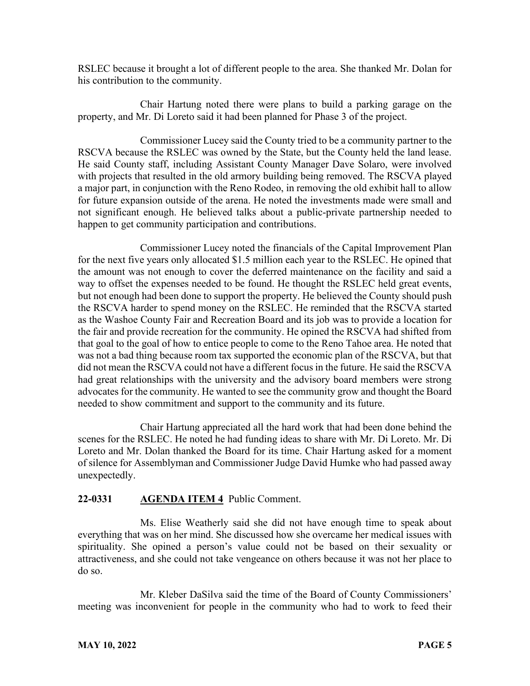RSLEC because it brought a lot of different people to the area. She thanked Mr. Dolan for his contribution to the community.

Chair Hartung noted there were plans to build a parking garage on the property, and Mr. Di Loreto said it had been planned for Phase 3 of the project.

Commissioner Lucey said the County tried to be a community partner to the RSCVA because the RSLEC was owned by the State, but the County held the land lease. He said County staff, including Assistant County Manager Dave Solaro, were involved with projects that resulted in the old armory building being removed. The RSCVA played a major part, in conjunction with the Reno Rodeo, in removing the old exhibit hall to allow for future expansion outside of the arena. He noted the investments made were small and not significant enough. He believed talks about a public-private partnership needed to happen to get community participation and contributions.

Commissioner Lucey noted the financials of the Capital Improvement Plan for the next five years only allocated \$1.5 million each year to the RSLEC. He opined that the amount was not enough to cover the deferred maintenance on the facility and said a way to offset the expenses needed to be found. He thought the RSLEC held great events, but not enough had been done to support the property. He believed the County should push the RSCVA harder to spend money on the RSLEC. He reminded that the RSCVA started as the Washoe County Fair and Recreation Board and its job was to provide a location for the fair and provide recreation for the community. He opined the RSCVA had shifted from that goal to the goal of how to entice people to come to the Reno Tahoe area. He noted that was not a bad thing because room tax supported the economic plan of the RSCVA, but that did not mean the RSCVA could not have a different focus in the future. He said the RSCVA had great relationships with the university and the advisory board members were strong advocates for the community. He wanted to see the community grow and thought the Board needed to show commitment and support to the community and its future.

Chair Hartung appreciated all the hard work that had been done behind the scenes for the RSLEC. He noted he had funding ideas to share with Mr. Di Loreto. Mr. Di Loreto and Mr. Dolan thanked the Board for its time. Chair Hartung asked for a moment of silence for Assemblyman and Commissioner Judge David Humke who had passed away unexpectedly.

### **22-0331 AGENDA ITEM 4** Public Comment.

Ms. Elise Weatherly said she did not have enough time to speak about everything that was on her mind. She discussed how she overcame her medical issues with spirituality. She opined a person's value could not be based on their sexuality or attractiveness, and she could not take vengeance on others because it was not her place to do so.

Mr. Kleber DaSilva said the time of the Board of County Commissioners' meeting was inconvenient for people in the community who had to work to feed their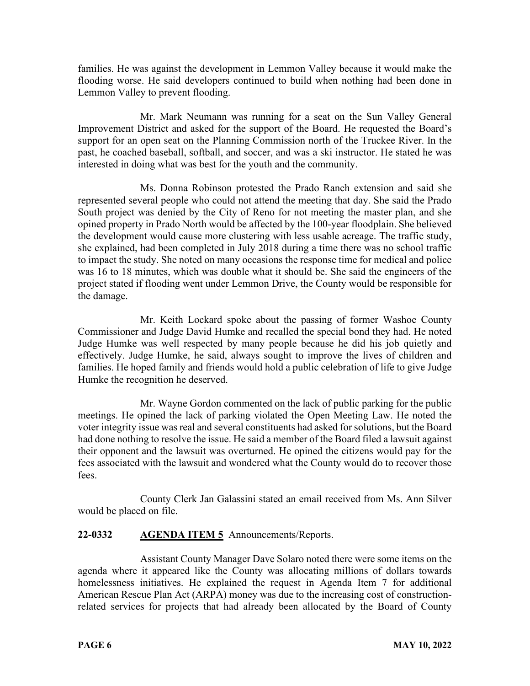families. He was against the development in Lemmon Valley because it would make the flooding worse. He said developers continued to build when nothing had been done in Lemmon Valley to prevent flooding.

Mr. Mark Neumann was running for a seat on the Sun Valley General Improvement District and asked for the support of the Board. He requested the Board's support for an open seat on the Planning Commission north of the Truckee River. In the past, he coached baseball, softball, and soccer, and was a ski instructor. He stated he was interested in doing what was best for the youth and the community.

Ms. Donna Robinson protested the Prado Ranch extension and said she represented several people who could not attend the meeting that day. She said the Prado South project was denied by the City of Reno for not meeting the master plan, and she opined property in Prado North would be affected by the 100-year floodplain. She believed the development would cause more clustering with less usable acreage. The traffic study, she explained, had been completed in July 2018 during a time there was no school traffic to impact the study. She noted on many occasions the response time for medical and police was 16 to 18 minutes, which was double what it should be. She said the engineers of the project stated if flooding went under Lemmon Drive, the County would be responsible for the damage.

Mr. Keith Lockard spoke about the passing of former Washoe County Commissioner and Judge David Humke and recalled the special bond they had. He noted Judge Humke was well respected by many people because he did his job quietly and effectively. Judge Humke, he said, always sought to improve the lives of children and families. He hoped family and friends would hold a public celebration of life to give Judge Humke the recognition he deserved.

Mr. Wayne Gordon commented on the lack of public parking for the public meetings. He opined the lack of parking violated the Open Meeting Law. He noted the voter integrity issue was real and several constituents had asked for solutions, but the Board had done nothing to resolve the issue. He said a member of the Board filed a lawsuit against their opponent and the lawsuit was overturned. He opined the citizens would pay for the fees associated with the lawsuit and wondered what the County would do to recover those fees.

County Clerk Jan Galassini stated an email received from Ms. Ann Silver would be placed on file.

# **22-0332 AGENDA ITEM 5** Announcements/Reports.

Assistant County Manager Dave Solaro noted there were some items on the agenda where it appeared like the County was allocating millions of dollars towards homelessness initiatives. He explained the request in Agenda Item 7 for additional American Rescue Plan Act (ARPA) money was due to the increasing cost of constructionrelated services for projects that had already been allocated by the Board of County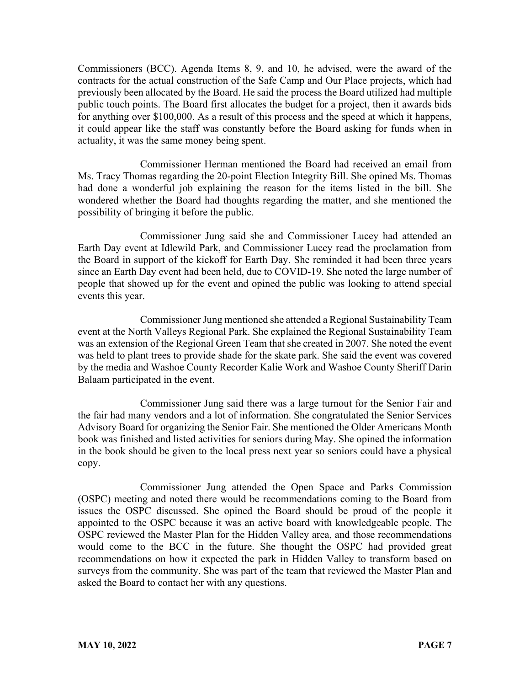Commissioners (BCC). Agenda Items 8, 9, and 10, he advised, were the award of the contracts for the actual construction of the Safe Camp and Our Place projects, which had previously been allocated by the Board. He said the process the Board utilized had multiple public touch points. The Board first allocates the budget for a project, then it awards bids for anything over \$100,000. As a result of this process and the speed at which it happens, it could appear like the staff was constantly before the Board asking for funds when in actuality, it was the same money being spent.

Commissioner Herman mentioned the Board had received an email from Ms. Tracy Thomas regarding the 20-point Election Integrity Bill. She opined Ms. Thomas had done a wonderful job explaining the reason for the items listed in the bill. She wondered whether the Board had thoughts regarding the matter, and she mentioned the possibility of bringing it before the public.

Commissioner Jung said she and Commissioner Lucey had attended an Earth Day event at Idlewild Park, and Commissioner Lucey read the proclamation from the Board in support of the kickoff for Earth Day. She reminded it had been three years since an Earth Day event had been held, due to COVID-19. She noted the large number of people that showed up for the event and opined the public was looking to attend special events this year.

Commissioner Jung mentioned she attended a Regional Sustainability Team event at the North Valleys Regional Park. She explained the Regional Sustainability Team was an extension of the Regional Green Team that she created in 2007. She noted the event was held to plant trees to provide shade for the skate park. She said the event was covered by the media and Washoe County Recorder Kalie Work and Washoe County Sheriff Darin Balaam participated in the event.

Commissioner Jung said there was a large turnout for the Senior Fair and the fair had many vendors and a lot of information. She congratulated the Senior Services Advisory Board for organizing the Senior Fair. She mentioned the Older Americans Month book was finished and listed activities for seniors during May. She opined the information in the book should be given to the local press next year so seniors could have a physical copy.

Commissioner Jung attended the Open Space and Parks Commission (OSPC) meeting and noted there would be recommendations coming to the Board from issues the OSPC discussed. She opined the Board should be proud of the people it appointed to the OSPC because it was an active board with knowledgeable people. The OSPC reviewed the Master Plan for the Hidden Valley area, and those recommendations would come to the BCC in the future. She thought the OSPC had provided great recommendations on how it expected the park in Hidden Valley to transform based on surveys from the community. She was part of the team that reviewed the Master Plan and asked the Board to contact her with any questions.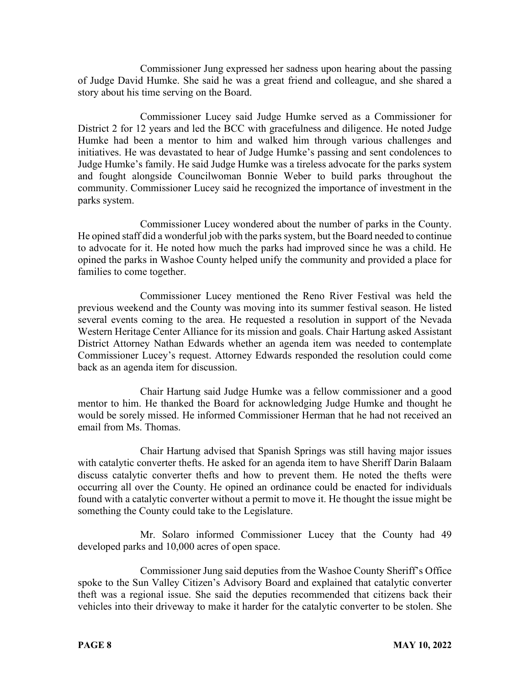Commissioner Jung expressed her sadness upon hearing about the passing of Judge David Humke. She said he was a great friend and colleague, and she shared a story about his time serving on the Board.

Commissioner Lucey said Judge Humke served as a Commissioner for District 2 for 12 years and led the BCC with gracefulness and diligence. He noted Judge Humke had been a mentor to him and walked him through various challenges and initiatives. He was devastated to hear of Judge Humke's passing and sent condolences to Judge Humke's family. He said Judge Humke was a tireless advocate for the parks system and fought alongside Councilwoman Bonnie Weber to build parks throughout the community. Commissioner Lucey said he recognized the importance of investment in the parks system.

Commissioner Lucey wondered about the number of parks in the County. He opined staff did a wonderful job with the parks system, but the Board needed to continue to advocate for it. He noted how much the parks had improved since he was a child. He opined the parks in Washoe County helped unify the community and provided a place for families to come together.

Commissioner Lucey mentioned the Reno River Festival was held the previous weekend and the County was moving into its summer festival season. He listed several events coming to the area. He requested a resolution in support of the Nevada Western Heritage Center Alliance for its mission and goals. Chair Hartung asked Assistant District Attorney Nathan Edwards whether an agenda item was needed to contemplate Commissioner Lucey's request. Attorney Edwards responded the resolution could come back as an agenda item for discussion.

Chair Hartung said Judge Humke was a fellow commissioner and a good mentor to him. He thanked the Board for acknowledging Judge Humke and thought he would be sorely missed. He informed Commissioner Herman that he had not received an email from Ms. Thomas.

Chair Hartung advised that Spanish Springs was still having major issues with catalytic converter thefts. He asked for an agenda item to have Sheriff Darin Balaam discuss catalytic converter thefts and how to prevent them. He noted the thefts were occurring all over the County. He opined an ordinance could be enacted for individuals found with a catalytic converter without a permit to move it. He thought the issue might be something the County could take to the Legislature.

Mr. Solaro informed Commissioner Lucey that the County had 49 developed parks and 10,000 acres of open space.

Commissioner Jung said deputies from the Washoe County Sheriff's Office spoke to the Sun Valley Citizen's Advisory Board and explained that catalytic converter theft was a regional issue. She said the deputies recommended that citizens back their vehicles into their driveway to make it harder for the catalytic converter to be stolen. She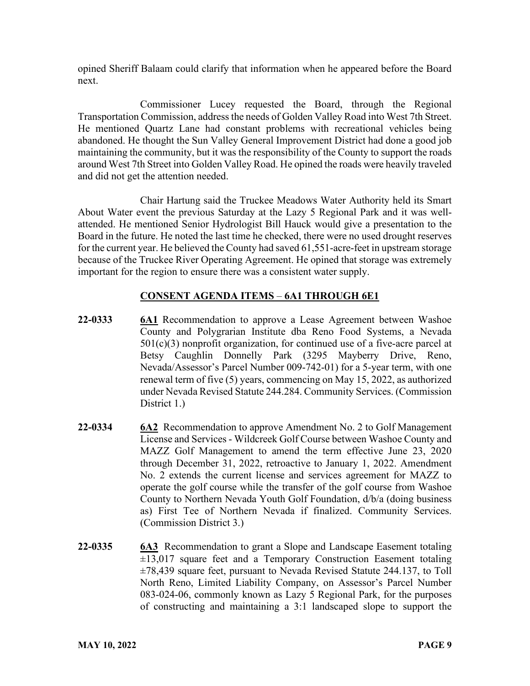opined Sheriff Balaam could clarify that information when he appeared before the Board next.

Commissioner Lucey requested the Board, through the Regional Transportation Commission, address the needs of Golden Valley Road into West 7th Street. He mentioned Quartz Lane had constant problems with recreational vehicles being abandoned. He thought the Sun Valley General Improvement District had done a good job maintaining the community, but it was the responsibility of the County to support the roads around West 7th Street into Golden Valley Road. He opined the roads were heavily traveled and did not get the attention needed.

Chair Hartung said the Truckee Meadows Water Authority held its Smart About Water event the previous Saturday at the Lazy 5 Regional Park and it was wellattended. He mentioned Senior Hydrologist Bill Hauck would give a presentation to the Board in the future. He noted the last time he checked, there were no used drought reserves for the current year. He believed the County had saved 61,551-acre-feet in upstream storage because of the Truckee River Operating Agreement. He opined that storage was extremely important for the region to ensure there was a consistent water supply.

# **CONSENT AGENDA ITEMS** – **6A1 THROUGH 6E1**

- **22-0333 6A1** Recommendation to approve a Lease Agreement between Washoe County and Polygrarian Institute dba Reno Food Systems, a Nevada  $501(c)(3)$  nonprofit organization, for continued use of a five-acre parcel at Betsy Caughlin Donnelly Park (3295 Mayberry Drive, Reno, Nevada/Assessor's Parcel Number 009-742-01) for a 5-year term, with one renewal term of five (5) years, commencing on May 15, 2022, as authorized under Nevada Revised Statute 244.284. Community Services. (Commission District 1.)
- **22-0334 6A2** Recommendation to approve Amendment No. 2 to Golf Management License and Services - Wildcreek Golf Course between Washoe County and MAZZ Golf Management to amend the term effective June 23, 2020 through December 31, 2022, retroactive to January 1, 2022. Amendment No. 2 extends the current license and services agreement for MAZZ to operate the golf course while the transfer of the golf course from Washoe County to Northern Nevada Youth Golf Foundation, d/b/a (doing business as) First Tee of Northern Nevada if finalized. Community Services. (Commission District 3.)
- **22-0335 6A3** Recommendation to grant a Slope and Landscape Easement totaling  $\pm 13,017$  square feet and a Temporary Construction Easement totaling ±78,439 square feet, pursuant to Nevada Revised Statute 244.137, to Toll North Reno, Limited Liability Company, on Assessor's Parcel Number 083-024-06, commonly known as Lazy 5 Regional Park, for the purposes of constructing and maintaining a 3:1 landscaped slope to support the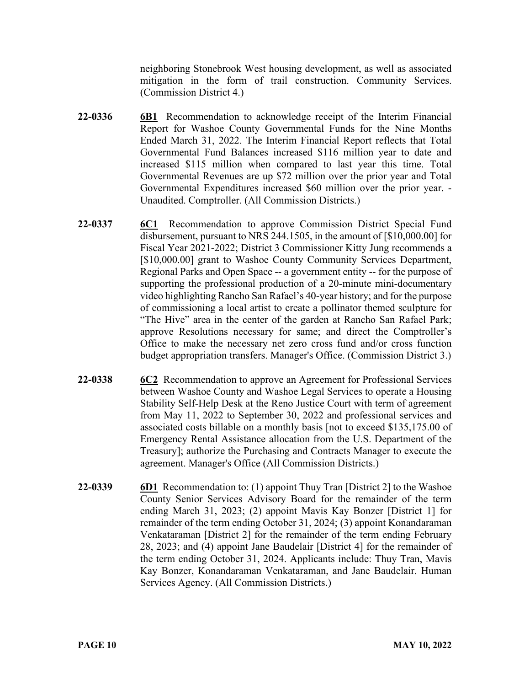neighboring Stonebrook West housing development, as well as associated mitigation in the form of trail construction. Community Services. (Commission District 4.)

- **22-0336 6B1** Recommendation to acknowledge receipt of the Interim Financial Report for Washoe County Governmental Funds for the Nine Months Ended March 31, 2022. The Interim Financial Report reflects that Total Governmental Fund Balances increased \$116 million year to date and increased \$115 million when compared to last year this time. Total Governmental Revenues are up \$72 million over the prior year and Total Governmental Expenditures increased \$60 million over the prior year. - Unaudited. Comptroller. (All Commission Districts.)
- **22-0337 6C1** Recommendation to approve Commission District Special Fund disbursement, pursuant to NRS 244.1505, in the amount of [\$10,000.00] for Fiscal Year 2021-2022; District 3 Commissioner Kitty Jung recommends a [\$10,000.00] grant to Washoe County Community Services Department, Regional Parks and Open Space -- a government entity -- for the purpose of supporting the professional production of a 20-minute mini-documentary video highlighting Rancho San Rafael's 40-year history; and for the purpose of commissioning a local artist to create a pollinator themed sculpture for "The Hive" area in the center of the garden at Rancho San Rafael Park; approve Resolutions necessary for same; and direct the Comptroller's Office to make the necessary net zero cross fund and/or cross function budget appropriation transfers. Manager's Office. (Commission District 3.)
- **22-0338 6C2** Recommendation to approve an Agreement for Professional Services between Washoe County and Washoe Legal Services to operate a Housing Stability Self-Help Desk at the Reno Justice Court with term of agreement from May 11, 2022 to September 30, 2022 and professional services and associated costs billable on a monthly basis [not to exceed \$135,175.00 of Emergency Rental Assistance allocation from the U.S. Department of the Treasury]; authorize the Purchasing and Contracts Manager to execute the agreement. Manager's Office (All Commission Districts.)
- **22-0339** 6D1 Recommendation to: (1) appoint Thuy Tran [District 2] to the Washoe County Senior Services Advisory Board for the remainder of the term ending March 31, 2023; (2) appoint Mavis Kay Bonzer [District 1] for remainder of the term ending October 31, 2024; (3) appoint Konandaraman Venkataraman [District 2] for the remainder of the term ending February 28, 2023; and (4) appoint Jane Baudelair [District 4] for the remainder of the term ending October 31, 2024. Applicants include: Thuy Tran, Mavis Kay Bonzer, Konandaraman Venkataraman, and Jane Baudelair. Human Services Agency. (All Commission Districts.)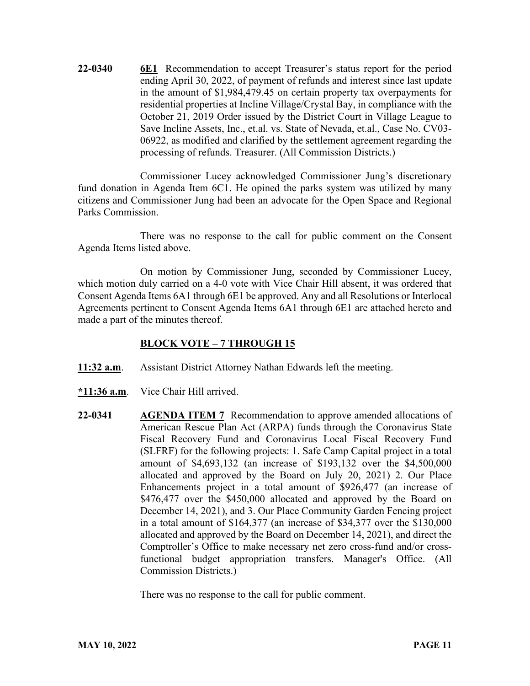**22-0340 6E1** Recommendation to accept Treasurer's status report for the period ending April 30, 2022, of payment of refunds and interest since last update in the amount of \$1,984,479.45 on certain property tax overpayments for residential properties at Incline Village/Crystal Bay, in compliance with the October 21, 2019 Order issued by the District Court in Village League to Save Incline Assets, Inc., et.al. vs. State of Nevada, et.al., Case No. CV03- 06922, as modified and clarified by the settlement agreement regarding the processing of refunds. Treasurer. (All Commission Districts.)

Commissioner Lucey acknowledged Commissioner Jung's discretionary fund donation in Agenda Item 6C1. He opined the parks system was utilized by many citizens and Commissioner Jung had been an advocate for the Open Space and Regional Parks Commission.

There was no response to the call for public comment on the Consent Agenda Items listed above.

On motion by Commissioner Jung, seconded by Commissioner Lucey, which motion duly carried on a 4-0 vote with Vice Chair Hill absent, it was ordered that Consent Agenda Items 6A1 through 6E1 be approved. Any and all Resolutions or Interlocal Agreements pertinent to Consent Agenda Items 6A1 through 6E1 are attached hereto and made a part of the minutes thereof.

### **BLOCK VOTE – 7 THROUGH 15**

- **11:32 a.m**. Assistant District Attorney Nathan Edwards left the meeting.
- **\*11:36 a.m**. Vice Chair Hill arrived.
- **22-0341 AGENDA ITEM 7** Recommendation to approve amended allocations of American Rescue Plan Act (ARPA) funds through the Coronavirus State Fiscal Recovery Fund and Coronavirus Local Fiscal Recovery Fund (SLFRF) for the following projects: 1. Safe Camp Capital project in a total amount of \$4,693,132 (an increase of \$193,132 over the \$4,500,000 allocated and approved by the Board on July 20, 2021) 2. Our Place Enhancements project in a total amount of \$926,477 (an increase of \$476,477 over the \$450,000 allocated and approved by the Board on December 14, 2021), and 3. Our Place Community Garden Fencing project in a total amount of \$164,377 (an increase of \$34,377 over the \$130,000 allocated and approved by the Board on December 14, 2021), and direct the Comptroller's Office to make necessary net zero cross-fund and/or crossfunctional budget appropriation transfers. Manager's Office. (All Commission Districts.)

There was no response to the call for public comment.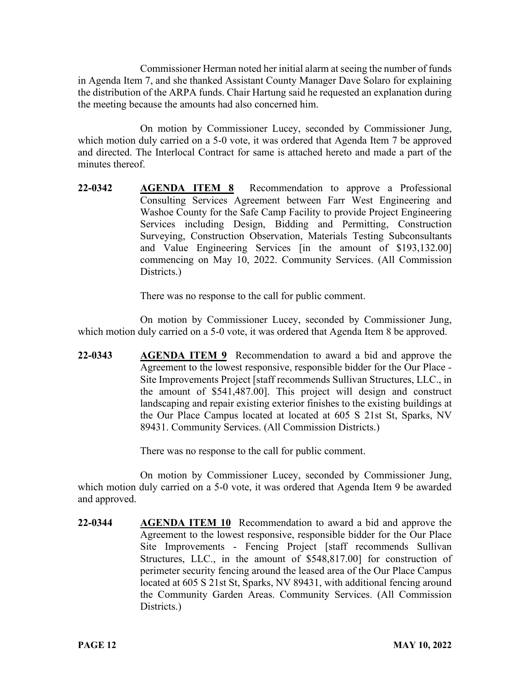Commissioner Herman noted her initial alarm at seeing the number of funds in Agenda Item 7, and she thanked Assistant County Manager Dave Solaro for explaining the distribution of the ARPA funds. Chair Hartung said he requested an explanation during the meeting because the amounts had also concerned him.

On motion by Commissioner Lucey, seconded by Commissioner Jung, which motion duly carried on a 5-0 vote, it was ordered that Agenda Item 7 be approved and directed. The Interlocal Contract for same is attached hereto and made a part of the minutes thereof.

**22-0342 AGENDA ITEM 8** Recommendation to approve a Professional Consulting Services Agreement between Farr West Engineering and Washoe County for the Safe Camp Facility to provide Project Engineering Services including Design, Bidding and Permitting, Construction Surveying, Construction Observation, Materials Testing Subconsultants and Value Engineering Services [in the amount of \$193,132.00] commencing on May 10, 2022. Community Services. (All Commission Districts.)

There was no response to the call for public comment.

On motion by Commissioner Lucey, seconded by Commissioner Jung, which motion duly carried on a 5-0 vote, it was ordered that Agenda Item 8 be approved.

**22-0343 AGENDA ITEM 9** Recommendation to award a bid and approve the Agreement to the lowest responsive, responsible bidder for the Our Place - Site Improvements Project [staff recommends Sullivan Structures, LLC., in the amount of \$541,487.00]. This project will design and construct landscaping and repair existing exterior finishes to the existing buildings at the Our Place Campus located at located at 605 S 21st St, Sparks, NV 89431. Community Services. (All Commission Districts.)

There was no response to the call for public comment.

On motion by Commissioner Lucey, seconded by Commissioner Jung, which motion duly carried on a 5-0 vote, it was ordered that Agenda Item 9 be awarded and approved.

**22-0344 AGENDA ITEM 10** Recommendation to award a bid and approve the Agreement to the lowest responsive, responsible bidder for the Our Place Site Improvements - Fencing Project [staff recommends Sullivan Structures, LLC., in the amount of \$548,817.00] for construction of perimeter security fencing around the leased area of the Our Place Campus located at 605 S 21st St, Sparks, NV 89431, with additional fencing around the Community Garden Areas. Community Services. (All Commission Districts.)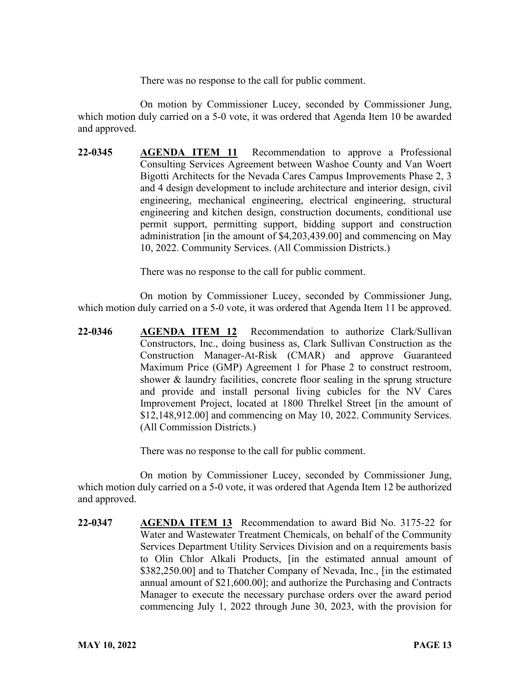There was no response to the call for public comment.

On motion by Commissioner Lucey, seconded by Commissioner Jung, which motion duly carried on a 5-0 vote, it was ordered that Agenda Item 10 be awarded and approved.

**22-0345 AGENDA ITEM 11** Recommendation to approve a Professional Consulting Services Agreement between Washoe County and Van Woert Bigotti Architects for the Nevada Cares Campus Improvements Phase 2, 3 and 4 design development to include architecture and interior design, civil engineering, mechanical engineering, electrical engineering, structural engineering and kitchen design, construction documents, conditional use permit support, permitting support, bidding support and construction administration [in the amount of \$4,203,439.00] and commencing on May 10, 2022. Community Services. (All Commission Districts.)

There was no response to the call for public comment.

On motion by Commissioner Lucey, seconded by Commissioner Jung, which motion duly carried on a 5-0 vote, it was ordered that Agenda Item 11 be approved.

**22-0346 AGENDA ITEM 12** Recommendation to authorize Clark/Sullivan Constructors, Inc., doing business as, Clark Sullivan Construction as the Construction Manager-At-Risk (CMAR) and approve Guaranteed Maximum Price (GMP) Agreement 1 for Phase 2 to construct restroom, shower & laundry facilities, concrete floor sealing in the sprung structure and provide and install personal living cubicles for the NV Cares Improvement Project, located at 1800 Threlkel Street [in the amount of \$12,148,912.00] and commencing on May 10, 2022. Community Services. (All Commission Districts.)

There was no response to the call for public comment.

On motion by Commissioner Lucey, seconded by Commissioner Jung, which motion duly carried on a 5-0 vote, it was ordered that Agenda Item 12 be authorized and approved.

**22-0347 AGENDA ITEM 13** Recommendation to award Bid No. 3175-22 for Water and Wastewater Treatment Chemicals, on behalf of the Community Services Department Utility Services Division and on a requirements basis to Olin Chlor Alkali Products, [in the estimated annual amount of \$382,250.00] and to Thatcher Company of Nevada, Inc., [in the estimated annual amount of \$21,600.00]; and authorize the Purchasing and Contracts Manager to execute the necessary purchase orders over the award period commencing July 1, 2022 through June 30, 2023, with the provision for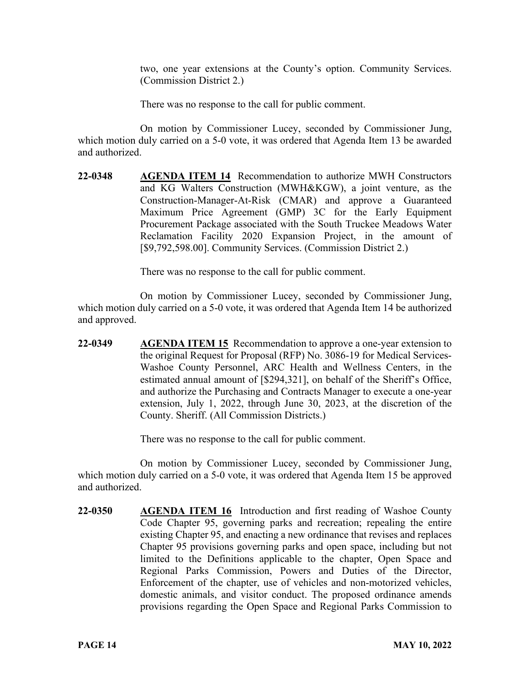two, one year extensions at the County's option. Community Services. (Commission District 2.)

There was no response to the call for public comment.

On motion by Commissioner Lucey, seconded by Commissioner Jung, which motion duly carried on a 5-0 vote, it was ordered that Agenda Item 13 be awarded and authorized.

**22-0348 AGENDA ITEM 14** Recommendation to authorize MWH Constructors and KG Walters Construction (MWH&KGW), a joint venture, as the Construction-Manager-At-Risk (CMAR) and approve a Guaranteed Maximum Price Agreement (GMP) 3C for the Early Equipment Procurement Package associated with the South Truckee Meadows Water Reclamation Facility 2020 Expansion Project, in the amount of [\$9,792,598.00]. Community Services. (Commission District 2.)

There was no response to the call for public comment.

On motion by Commissioner Lucey, seconded by Commissioner Jung, which motion duly carried on a 5-0 vote, it was ordered that Agenda Item 14 be authorized and approved.

**22-0349 AGENDA ITEM 15** Recommendation to approve a one-year extension to the original Request for Proposal (RFP) No. 3086-19 for Medical Services-Washoe County Personnel, ARC Health and Wellness Centers, in the estimated annual amount of [\$294,321], on behalf of the Sheriff's Office, and authorize the Purchasing and Contracts Manager to execute a one-year extension, July 1, 2022, through June 30, 2023, at the discretion of the County. Sheriff. (All Commission Districts.)

There was no response to the call for public comment.

On motion by Commissioner Lucey, seconded by Commissioner Jung, which motion duly carried on a 5-0 vote, it was ordered that Agenda Item 15 be approved and authorized.

**22-0350 AGENDA ITEM 16** Introduction and first reading of Washoe County Code Chapter 95, governing parks and recreation; repealing the entire existing Chapter 95, and enacting a new ordinance that revises and replaces Chapter 95 provisions governing parks and open space, including but not limited to the Definitions applicable to the chapter, Open Space and Regional Parks Commission, Powers and Duties of the Director, Enforcement of the chapter, use of vehicles and non-motorized vehicles, domestic animals, and visitor conduct. The proposed ordinance amends provisions regarding the Open Space and Regional Parks Commission to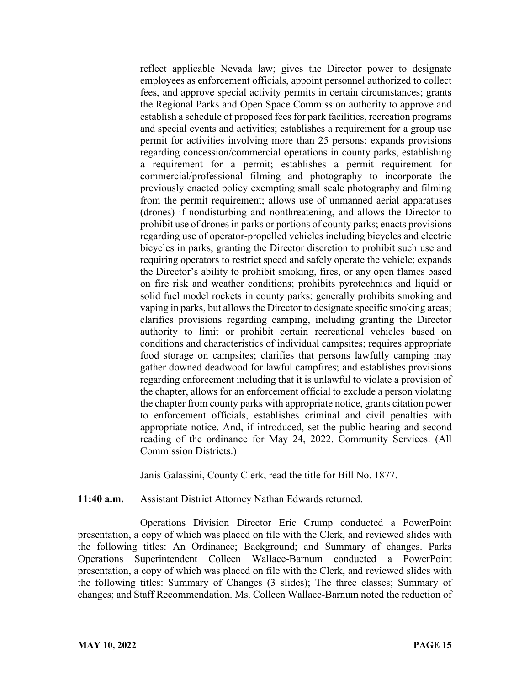reflect applicable Nevada law; gives the Director power to designate employees as enforcement officials, appoint personnel authorized to collect fees, and approve special activity permits in certain circumstances; grants the Regional Parks and Open Space Commission authority to approve and establish a schedule of proposed fees for park facilities, recreation programs and special events and activities; establishes a requirement for a group use permit for activities involving more than 25 persons; expands provisions regarding concession/commercial operations in county parks, establishing a requirement for a permit; establishes a permit requirement for commercial/professional filming and photography to incorporate the previously enacted policy exempting small scale photography and filming from the permit requirement; allows use of unmanned aerial apparatuses (drones) if nondisturbing and nonthreatening, and allows the Director to prohibit use of drones in parks or portions of county parks; enacts provisions regarding use of operator-propelled vehicles including bicycles and electric bicycles in parks, granting the Director discretion to prohibit such use and requiring operators to restrict speed and safely operate the vehicle; expands the Director's ability to prohibit smoking, fires, or any open flames based on fire risk and weather conditions; prohibits pyrotechnics and liquid or solid fuel model rockets in county parks; generally prohibits smoking and vaping in parks, but allows the Director to designate specific smoking areas; clarifies provisions regarding camping, including granting the Director authority to limit or prohibit certain recreational vehicles based on conditions and characteristics of individual campsites; requires appropriate food storage on campsites; clarifies that persons lawfully camping may gather downed deadwood for lawful campfires; and establishes provisions regarding enforcement including that it is unlawful to violate a provision of the chapter, allows for an enforcement official to exclude a person violating the chapter from county parks with appropriate notice, grants citation power to enforcement officials, establishes criminal and civil penalties with appropriate notice. And, if introduced, set the public hearing and second reading of the ordinance for May 24, 2022. Community Services. (All Commission Districts.)

Janis Galassini, County Clerk, read the title for Bill No. 1877.

### **11:40 a.m.** Assistant District Attorney Nathan Edwards returned.

Operations Division Director Eric Crump conducted a PowerPoint presentation, a copy of which was placed on file with the Clerk, and reviewed slides with the following titles: An Ordinance; Background; and Summary of changes. Parks Operations Superintendent Colleen Wallace-Barnum conducted a PowerPoint presentation, a copy of which was placed on file with the Clerk, and reviewed slides with the following titles: Summary of Changes (3 slides); The three classes; Summary of changes; and Staff Recommendation. Ms. Colleen Wallace-Barnum noted the reduction of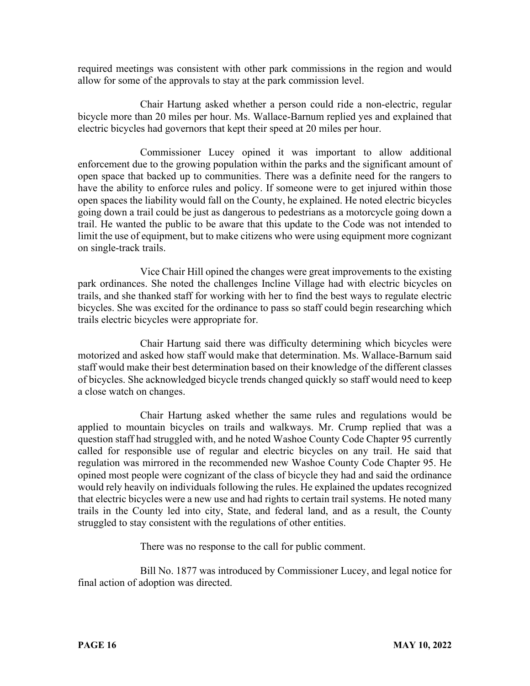required meetings was consistent with other park commissions in the region and would allow for some of the approvals to stay at the park commission level.

Chair Hartung asked whether a person could ride a non-electric, regular bicycle more than 20 miles per hour. Ms. Wallace-Barnum replied yes and explained that electric bicycles had governors that kept their speed at 20 miles per hour.

Commissioner Lucey opined it was important to allow additional enforcement due to the growing population within the parks and the significant amount of open space that backed up to communities. There was a definite need for the rangers to have the ability to enforce rules and policy. If someone were to get injured within those open spaces the liability would fall on the County, he explained. He noted electric bicycles going down a trail could be just as dangerous to pedestrians as a motorcycle going down a trail. He wanted the public to be aware that this update to the Code was not intended to limit the use of equipment, but to make citizens who were using equipment more cognizant on single-track trails.

Vice Chair Hill opined the changes were great improvements to the existing park ordinances. She noted the challenges Incline Village had with electric bicycles on trails, and she thanked staff for working with her to find the best ways to regulate electric bicycles. She was excited for the ordinance to pass so staff could begin researching which trails electric bicycles were appropriate for.

Chair Hartung said there was difficulty determining which bicycles were motorized and asked how staff would make that determination. Ms. Wallace-Barnum said staff would make their best determination based on their knowledge of the different classes of bicycles. She acknowledged bicycle trends changed quickly so staff would need to keep a close watch on changes.

Chair Hartung asked whether the same rules and regulations would be applied to mountain bicycles on trails and walkways. Mr. Crump replied that was a question staff had struggled with, and he noted Washoe County Code Chapter 95 currently called for responsible use of regular and electric bicycles on any trail. He said that regulation was mirrored in the recommended new Washoe County Code Chapter 95. He opined most people were cognizant of the class of bicycle they had and said the ordinance would rely heavily on individuals following the rules. He explained the updates recognized that electric bicycles were a new use and had rights to certain trail systems. He noted many trails in the County led into city, State, and federal land, and as a result, the County struggled to stay consistent with the regulations of other entities.

There was no response to the call for public comment.

Bill No. 1877 was introduced by Commissioner Lucey, and legal notice for final action of adoption was directed.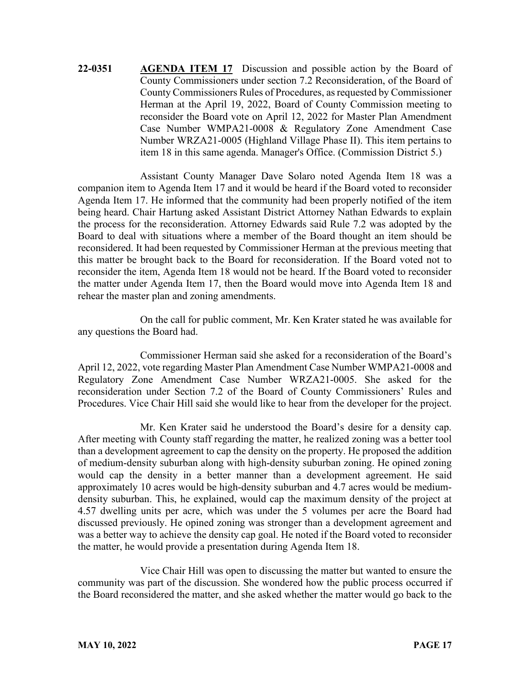**22-0351 AGENDA ITEM 17** Discussion and possible action by the Board of County Commissioners under section 7.2 Reconsideration, of the Board of County Commissioners Rules of Procedures, as requested by Commissioner Herman at the April 19, 2022, Board of County Commission meeting to reconsider the Board vote on April 12, 2022 for Master Plan Amendment Case Number WMPA21-0008 & Regulatory Zone Amendment Case Number WRZA21-0005 (Highland Village Phase II). This item pertains to item 18 in this same agenda. Manager's Office. (Commission District 5.)

Assistant County Manager Dave Solaro noted Agenda Item 18 was a companion item to Agenda Item 17 and it would be heard if the Board voted to reconsider Agenda Item 17. He informed that the community had been properly notified of the item being heard. Chair Hartung asked Assistant District Attorney Nathan Edwards to explain the process for the reconsideration. Attorney Edwards said Rule 7.2 was adopted by the Board to deal with situations where a member of the Board thought an item should be reconsidered. It had been requested by Commissioner Herman at the previous meeting that this matter be brought back to the Board for reconsideration. If the Board voted not to reconsider the item, Agenda Item 18 would not be heard. If the Board voted to reconsider the matter under Agenda Item 17, then the Board would move into Agenda Item 18 and rehear the master plan and zoning amendments.

On the call for public comment, Mr. Ken Krater stated he was available for any questions the Board had.

Commissioner Herman said she asked for a reconsideration of the Board's April 12, 2022, vote regarding Master Plan Amendment Case Number WMPA21-0008 and Regulatory Zone Amendment Case Number WRZA21-0005. She asked for the reconsideration under Section 7.2 of the Board of County Commissioners' Rules and Procedures. Vice Chair Hill said she would like to hear from the developer for the project.

Mr. Ken Krater said he understood the Board's desire for a density cap. After meeting with County staff regarding the matter, he realized zoning was a better tool than a development agreement to cap the density on the property. He proposed the addition of medium-density suburban along with high-density suburban zoning. He opined zoning would cap the density in a better manner than a development agreement. He said approximately 10 acres would be high-density suburban and 4.7 acres would be mediumdensity suburban. This, he explained, would cap the maximum density of the project at 4.57 dwelling units per acre, which was under the 5 volumes per acre the Board had discussed previously. He opined zoning was stronger than a development agreement and was a better way to achieve the density cap goal. He noted if the Board voted to reconsider the matter, he would provide a presentation during Agenda Item 18.

Vice Chair Hill was open to discussing the matter but wanted to ensure the community was part of the discussion. She wondered how the public process occurred if the Board reconsidered the matter, and she asked whether the matter would go back to the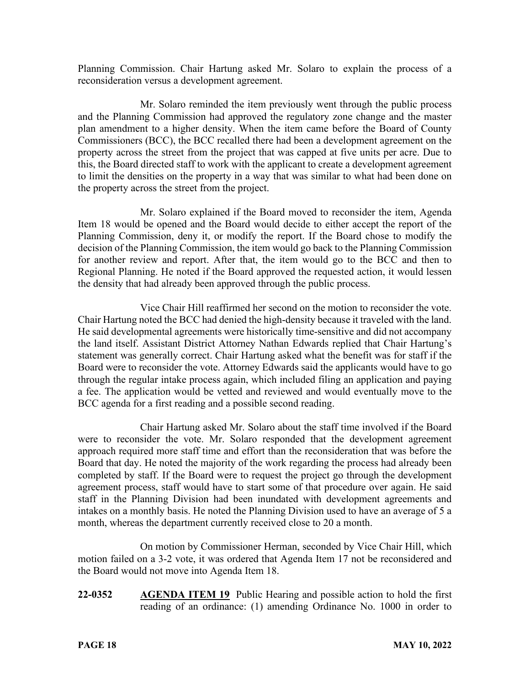Planning Commission. Chair Hartung asked Mr. Solaro to explain the process of a reconsideration versus a development agreement.

Mr. Solaro reminded the item previously went through the public process and the Planning Commission had approved the regulatory zone change and the master plan amendment to a higher density. When the item came before the Board of County Commissioners (BCC), the BCC recalled there had been a development agreement on the property across the street from the project that was capped at five units per acre. Due to this, the Board directed staff to work with the applicant to create a development agreement to limit the densities on the property in a way that was similar to what had been done on the property across the street from the project.

Mr. Solaro explained if the Board moved to reconsider the item, Agenda Item 18 would be opened and the Board would decide to either accept the report of the Planning Commission, deny it, or modify the report. If the Board chose to modify the decision of the Planning Commission, the item would go back to the Planning Commission for another review and report. After that, the item would go to the BCC and then to Regional Planning. He noted if the Board approved the requested action, it would lessen the density that had already been approved through the public process.

Vice Chair Hill reaffirmed her second on the motion to reconsider the vote. Chair Hartung noted the BCC had denied the high-density because it traveled with the land. He said developmental agreements were historically time-sensitive and did not accompany the land itself. Assistant District Attorney Nathan Edwards replied that Chair Hartung's statement was generally correct. Chair Hartung asked what the benefit was for staff if the Board were to reconsider the vote. Attorney Edwards said the applicants would have to go through the regular intake process again, which included filing an application and paying a fee. The application would be vetted and reviewed and would eventually move to the BCC agenda for a first reading and a possible second reading.

Chair Hartung asked Mr. Solaro about the staff time involved if the Board were to reconsider the vote. Mr. Solaro responded that the development agreement approach required more staff time and effort than the reconsideration that was before the Board that day. He noted the majority of the work regarding the process had already been completed by staff. If the Board were to request the project go through the development agreement process, staff would have to start some of that procedure over again. He said staff in the Planning Division had been inundated with development agreements and intakes on a monthly basis. He noted the Planning Division used to have an average of 5 a month, whereas the department currently received close to 20 a month.

On motion by Commissioner Herman, seconded by Vice Chair Hill, which motion failed on a 3-2 vote, it was ordered that Agenda Item 17 not be reconsidered and the Board would not move into Agenda Item 18.

**22-0352 AGENDA ITEM 19** Public Hearing and possible action to hold the first reading of an ordinance: (1) amending Ordinance No. 1000 in order to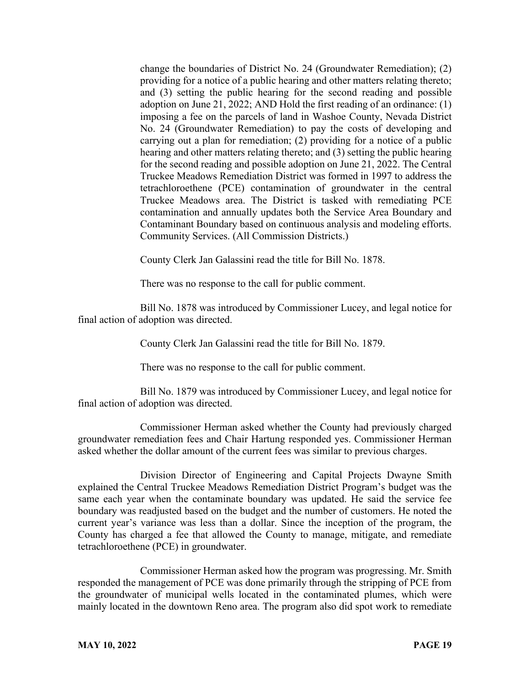change the boundaries of District No. 24 (Groundwater Remediation); (2) providing for a notice of a public hearing and other matters relating thereto; and (3) setting the public hearing for the second reading and possible adoption on June 21, 2022; AND Hold the first reading of an ordinance: (1) imposing a fee on the parcels of land in Washoe County, Nevada District No. 24 (Groundwater Remediation) to pay the costs of developing and carrying out a plan for remediation; (2) providing for a notice of a public hearing and other matters relating thereto; and (3) setting the public hearing for the second reading and possible adoption on June 21, 2022. The Central Truckee Meadows Remediation District was formed in 1997 to address the tetrachloroethene (PCE) contamination of groundwater in the central Truckee Meadows area. The District is tasked with remediating PCE contamination and annually updates both the Service Area Boundary and Contaminant Boundary based on continuous analysis and modeling efforts. Community Services. (All Commission Districts.)

County Clerk Jan Galassini read the title for Bill No. 1878.

There was no response to the call for public comment.

Bill No. 1878 was introduced by Commissioner Lucey, and legal notice for final action of adoption was directed.

County Clerk Jan Galassini read the title for Bill No. 1879.

There was no response to the call for public comment.

Bill No. 1879 was introduced by Commissioner Lucey, and legal notice for final action of adoption was directed.

Commissioner Herman asked whether the County had previously charged groundwater remediation fees and Chair Hartung responded yes. Commissioner Herman asked whether the dollar amount of the current fees was similar to previous charges.

Division Director of Engineering and Capital Projects Dwayne Smith explained the Central Truckee Meadows Remediation District Program's budget was the same each year when the contaminate boundary was updated. He said the service fee boundary was readjusted based on the budget and the number of customers. He noted the current year's variance was less than a dollar. Since the inception of the program, the County has charged a fee that allowed the County to manage, mitigate, and remediate tetrachloroethene (PCE) in groundwater.

Commissioner Herman asked how the program was progressing. Mr. Smith responded the management of PCE was done primarily through the stripping of PCE from the groundwater of municipal wells located in the contaminated plumes, which were mainly located in the downtown Reno area. The program also did spot work to remediate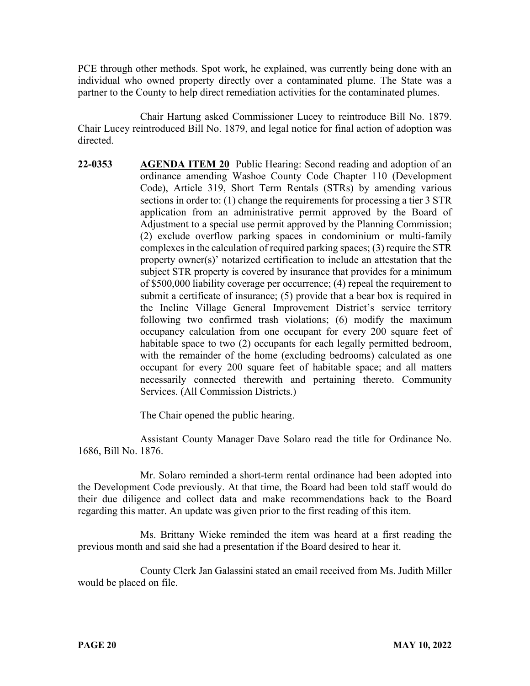PCE through other methods. Spot work, he explained, was currently being done with an individual who owned property directly over a contaminated plume. The State was a partner to the County to help direct remediation activities for the contaminated plumes.

Chair Hartung asked Commissioner Lucey to reintroduce Bill No. 1879. Chair Lucey reintroduced Bill No. 1879, and legal notice for final action of adoption was directed.

**22-0353 AGENDA ITEM 20** Public Hearing: Second reading and adoption of an ordinance amending Washoe County Code Chapter 110 (Development Code), Article 319, Short Term Rentals (STRs) by amending various sections in order to: (1) change the requirements for processing a tier 3 STR application from an administrative permit approved by the Board of Adjustment to a special use permit approved by the Planning Commission; (2) exclude overflow parking spaces in condominium or multi-family complexes in the calculation of required parking spaces; (3) require the STR property owner(s)' notarized certification to include an attestation that the subject STR property is covered by insurance that provides for a minimum of \$500,000 liability coverage per occurrence; (4) repeal the requirement to submit a certificate of insurance; (5) provide that a bear box is required in the Incline Village General Improvement District's service territory following two confirmed trash violations; (6) modify the maximum occupancy calculation from one occupant for every 200 square feet of habitable space to two (2) occupants for each legally permitted bedroom, with the remainder of the home (excluding bedrooms) calculated as one occupant for every 200 square feet of habitable space; and all matters necessarily connected therewith and pertaining thereto. Community Services. (All Commission Districts.)

The Chair opened the public hearing.

Assistant County Manager Dave Solaro read the title for Ordinance No. 1686, Bill No. 1876.

Mr. Solaro reminded a short-term rental ordinance had been adopted into the Development Code previously. At that time, the Board had been told staff would do their due diligence and collect data and make recommendations back to the Board regarding this matter. An update was given prior to the first reading of this item.

Ms. Brittany Wieke reminded the item was heard at a first reading the previous month and said she had a presentation if the Board desired to hear it.

County Clerk Jan Galassini stated an email received from Ms. Judith Miller would be placed on file.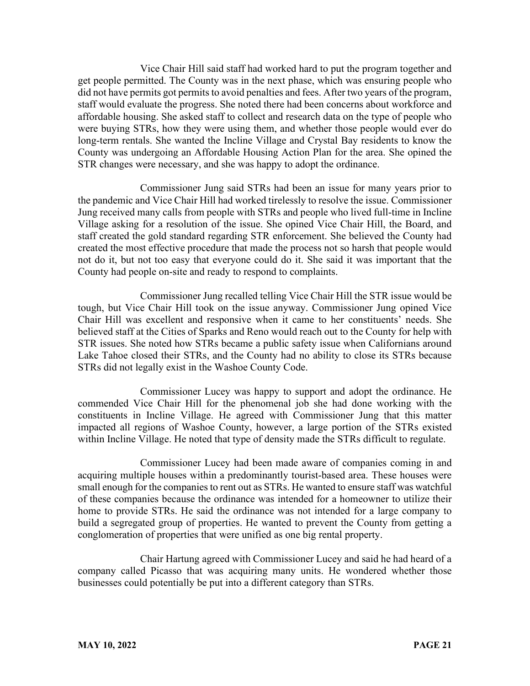Vice Chair Hill said staff had worked hard to put the program together and get people permitted. The County was in the next phase, which was ensuring people who did not have permits got permits to avoid penalties and fees. After two years of the program, staff would evaluate the progress. She noted there had been concerns about workforce and affordable housing. She asked staff to collect and research data on the type of people who were buying STRs, how they were using them, and whether those people would ever do long-term rentals. She wanted the Incline Village and Crystal Bay residents to know the County was undergoing an Affordable Housing Action Plan for the area. She opined the STR changes were necessary, and she was happy to adopt the ordinance.

Commissioner Jung said STRs had been an issue for many years prior to the pandemic and Vice Chair Hill had worked tirelessly to resolve the issue. Commissioner Jung received many calls from people with STRs and people who lived full-time in Incline Village asking for a resolution of the issue. She opined Vice Chair Hill, the Board, and staff created the gold standard regarding STR enforcement. She believed the County had created the most effective procedure that made the process not so harsh that people would not do it, but not too easy that everyone could do it. She said it was important that the County had people on-site and ready to respond to complaints.

Commissioner Jung recalled telling Vice Chair Hill the STR issue would be tough, but Vice Chair Hill took on the issue anyway. Commissioner Jung opined Vice Chair Hill was excellent and responsive when it came to her constituents' needs. She believed staff at the Cities of Sparks and Reno would reach out to the County for help with STR issues. She noted how STRs became a public safety issue when Californians around Lake Tahoe closed their STRs, and the County had no ability to close its STRs because STRs did not legally exist in the Washoe County Code.

Commissioner Lucey was happy to support and adopt the ordinance. He commended Vice Chair Hill for the phenomenal job she had done working with the constituents in Incline Village. He agreed with Commissioner Jung that this matter impacted all regions of Washoe County, however, a large portion of the STRs existed within Incline Village. He noted that type of density made the STRs difficult to regulate.

Commissioner Lucey had been made aware of companies coming in and acquiring multiple houses within a predominantly tourist-based area. These houses were small enough for the companies to rent out as STRs. He wanted to ensure staff was watchful of these companies because the ordinance was intended for a homeowner to utilize their home to provide STRs. He said the ordinance was not intended for a large company to build a segregated group of properties. He wanted to prevent the County from getting a conglomeration of properties that were unified as one big rental property.

Chair Hartung agreed with Commissioner Lucey and said he had heard of a company called Picasso that was acquiring many units. He wondered whether those businesses could potentially be put into a different category than STRs.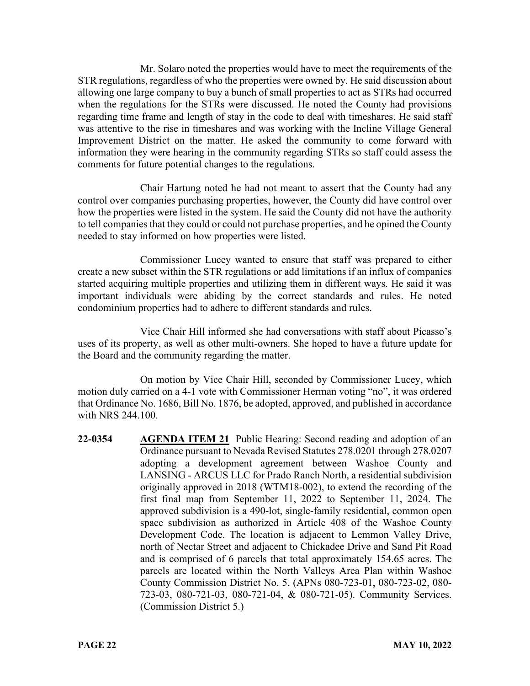Mr. Solaro noted the properties would have to meet the requirements of the STR regulations, regardless of who the properties were owned by. He said discussion about allowing one large company to buy a bunch of small properties to act as STRs had occurred when the regulations for the STRs were discussed. He noted the County had provisions regarding time frame and length of stay in the code to deal with timeshares. He said staff was attentive to the rise in timeshares and was working with the Incline Village General Improvement District on the matter. He asked the community to come forward with information they were hearing in the community regarding STRs so staff could assess the comments for future potential changes to the regulations.

Chair Hartung noted he had not meant to assert that the County had any control over companies purchasing properties, however, the County did have control over how the properties were listed in the system. He said the County did not have the authority to tell companies that they could or could not purchase properties, and he opined the County needed to stay informed on how properties were listed.

Commissioner Lucey wanted to ensure that staff was prepared to either create a new subset within the STR regulations or add limitations if an influx of companies started acquiring multiple properties and utilizing them in different ways. He said it was important individuals were abiding by the correct standards and rules. He noted condominium properties had to adhere to different standards and rules.

Vice Chair Hill informed she had conversations with staff about Picasso's uses of its property, as well as other multi-owners. She hoped to have a future update for the Board and the community regarding the matter.

On motion by Vice Chair Hill, seconded by Commissioner Lucey, which motion duly carried on a 4-1 vote with Commissioner Herman voting "no", it was ordered that Ordinance No. 1686, Bill No. 1876, be adopted, approved, and published in accordance with NRS 244.100.

**22-0354 AGENDA ITEM 21** Public Hearing: Second reading and adoption of an Ordinance pursuant to Nevada Revised Statutes 278.0201 through 278.0207 adopting a development agreement between Washoe County and LANSING - ARCUS LLC for Prado Ranch North, a residential subdivision originally approved in 2018 (WTM18-002), to extend the recording of the first final map from September 11, 2022 to September 11, 2024. The approved subdivision is a 490-lot, single-family residential, common open space subdivision as authorized in Article 408 of the Washoe County Development Code. The location is adjacent to Lemmon Valley Drive, north of Nectar Street and adjacent to Chickadee Drive and Sand Pit Road and is comprised of 6 parcels that total approximately 154.65 acres. The parcels are located within the North Valleys Area Plan within Washoe County Commission District No. 5. (APNs 080-723-01, 080-723-02, 080- 723-03, 080-721-03, 080-721-04, & 080-721-05). Community Services. (Commission District 5.)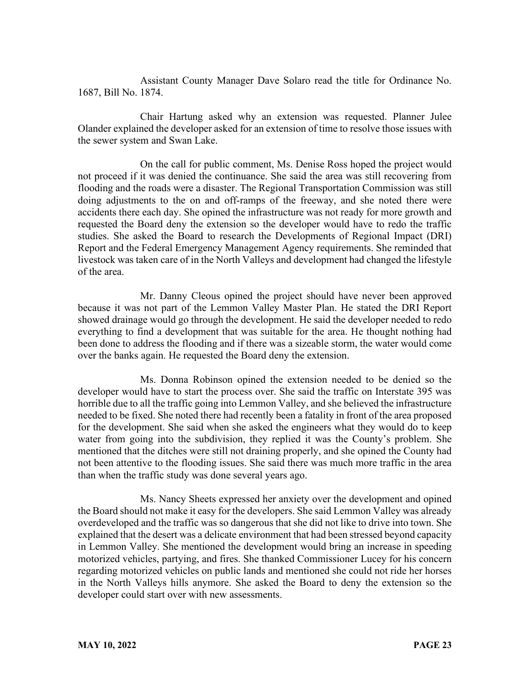Assistant County Manager Dave Solaro read the title for Ordinance No. 1687, Bill No. 1874.

Chair Hartung asked why an extension was requested. Planner Julee Olander explained the developer asked for an extension of time to resolve those issues with the sewer system and Swan Lake.

On the call for public comment, Ms. Denise Ross hoped the project would not proceed if it was denied the continuance. She said the area was still recovering from flooding and the roads were a disaster. The Regional Transportation Commission was still doing adjustments to the on and off-ramps of the freeway, and she noted there were accidents there each day. She opined the infrastructure was not ready for more growth and requested the Board deny the extension so the developer would have to redo the traffic studies. She asked the Board to research the Developments of Regional Impact (DRI) Report and the Federal Emergency Management Agency requirements. She reminded that livestock was taken care of in the North Valleys and development had changed the lifestyle of the area.

Mr. Danny Cleous opined the project should have never been approved because it was not part of the Lemmon Valley Master Plan. He stated the DRI Report showed drainage would go through the development. He said the developer needed to redo everything to find a development that was suitable for the area. He thought nothing had been done to address the flooding and if there was a sizeable storm, the water would come over the banks again. He requested the Board deny the extension.

Ms. Donna Robinson opined the extension needed to be denied so the developer would have to start the process over. She said the traffic on Interstate 395 was horrible due to all the traffic going into Lemmon Valley, and she believed the infrastructure needed to be fixed. She noted there had recently been a fatality in front of the area proposed for the development. She said when she asked the engineers what they would do to keep water from going into the subdivision, they replied it was the County's problem. She mentioned that the ditches were still not draining properly, and she opined the County had not been attentive to the flooding issues. She said there was much more traffic in the area than when the traffic study was done several years ago.

Ms. Nancy Sheets expressed her anxiety over the development and opined the Board should not make it easy for the developers. She said Lemmon Valley was already overdeveloped and the traffic was so dangerous that she did not like to drive into town. She explained that the desert was a delicate environment that had been stressed beyond capacity in Lemmon Valley. She mentioned the development would bring an increase in speeding motorized vehicles, partying, and fires. She thanked Commissioner Lucey for his concern regarding motorized vehicles on public lands and mentioned she could not ride her horses in the North Valleys hills anymore. She asked the Board to deny the extension so the developer could start over with new assessments.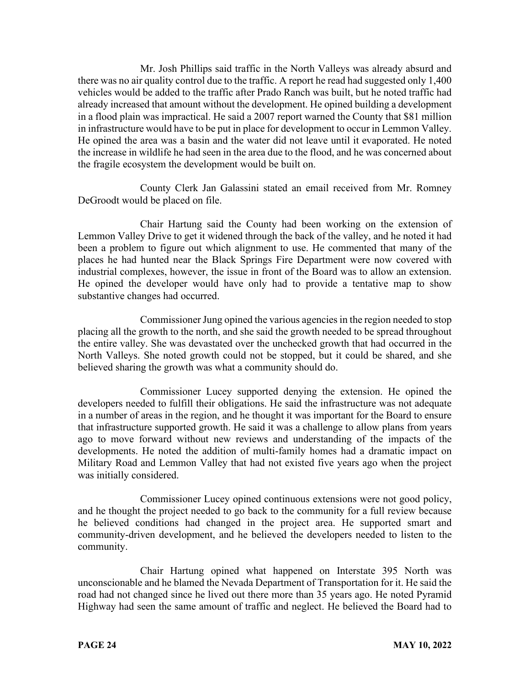Mr. Josh Phillips said traffic in the North Valleys was already absurd and there was no air quality control due to the traffic. A report he read had suggested only 1,400 vehicles would be added to the traffic after Prado Ranch was built, but he noted traffic had already increased that amount without the development. He opined building a development in a flood plain was impractical. He said a 2007 report warned the County that \$81 million in infrastructure would have to be put in place for development to occur in Lemmon Valley. He opined the area was a basin and the water did not leave until it evaporated. He noted the increase in wildlife he had seen in the area due to the flood, and he was concerned about the fragile ecosystem the development would be built on.

County Clerk Jan Galassini stated an email received from Mr. Romney DeGroodt would be placed on file.

Chair Hartung said the County had been working on the extension of Lemmon Valley Drive to get it widened through the back of the valley, and he noted it had been a problem to figure out which alignment to use. He commented that many of the places he had hunted near the Black Springs Fire Department were now covered with industrial complexes, however, the issue in front of the Board was to allow an extension. He opined the developer would have only had to provide a tentative map to show substantive changes had occurred.

Commissioner Jung opined the various agencies in the region needed to stop placing all the growth to the north, and she said the growth needed to be spread throughout the entire valley. She was devastated over the unchecked growth that had occurred in the North Valleys. She noted growth could not be stopped, but it could be shared, and she believed sharing the growth was what a community should do.

Commissioner Lucey supported denying the extension. He opined the developers needed to fulfill their obligations. He said the infrastructure was not adequate in a number of areas in the region, and he thought it was important for the Board to ensure that infrastructure supported growth. He said it was a challenge to allow plans from years ago to move forward without new reviews and understanding of the impacts of the developments. He noted the addition of multi-family homes had a dramatic impact on Military Road and Lemmon Valley that had not existed five years ago when the project was initially considered.

Commissioner Lucey opined continuous extensions were not good policy, and he thought the project needed to go back to the community for a full review because he believed conditions had changed in the project area. He supported smart and community-driven development, and he believed the developers needed to listen to the community.

Chair Hartung opined what happened on Interstate 395 North was unconscionable and he blamed the Nevada Department of Transportation for it. He said the road had not changed since he lived out there more than 35 years ago. He noted Pyramid Highway had seen the same amount of traffic and neglect. He believed the Board had to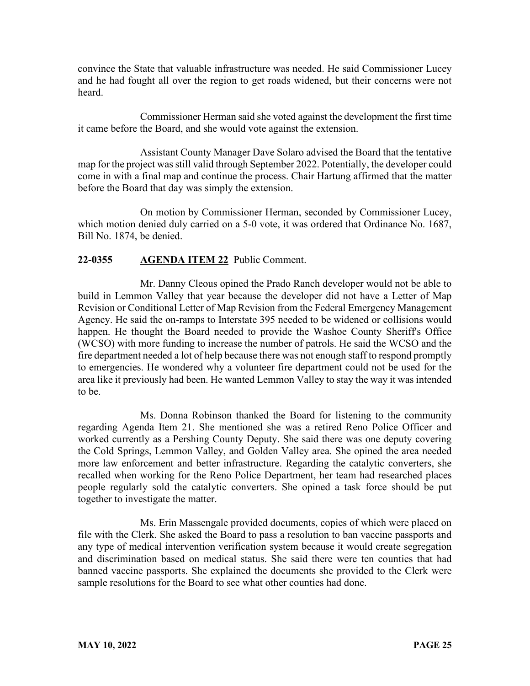convince the State that valuable infrastructure was needed. He said Commissioner Lucey and he had fought all over the region to get roads widened, but their concerns were not heard.

Commissioner Herman said she voted against the development the first time it came before the Board, and she would vote against the extension.

Assistant County Manager Dave Solaro advised the Board that the tentative map for the project was still valid through September 2022. Potentially, the developer could come in with a final map and continue the process. Chair Hartung affirmed that the matter before the Board that day was simply the extension.

On motion by Commissioner Herman, seconded by Commissioner Lucey, which motion denied duly carried on a 5-0 vote, it was ordered that Ordinance No. 1687, Bill No. 1874, be denied.

# **22-0355 AGENDA ITEM 22** Public Comment.

Mr. Danny Cleous opined the Prado Ranch developer would not be able to build in Lemmon Valley that year because the developer did not have a Letter of Map Revision or Conditional Letter of Map Revision from the Federal Emergency Management Agency. He said the on-ramps to Interstate 395 needed to be widened or collisions would happen. He thought the Board needed to provide the Washoe County Sheriff's Office (WCSO) with more funding to increase the number of patrols. He said the WCSO and the fire department needed a lot of help because there was not enough staff to respond promptly to emergencies. He wondered why a volunteer fire department could not be used for the area like it previously had been. He wanted Lemmon Valley to stay the way it was intended to be.

Ms. Donna Robinson thanked the Board for listening to the community regarding Agenda Item 21. She mentioned she was a retired Reno Police Officer and worked currently as a Pershing County Deputy. She said there was one deputy covering the Cold Springs, Lemmon Valley, and Golden Valley area. She opined the area needed more law enforcement and better infrastructure. Regarding the catalytic converters, she recalled when working for the Reno Police Department, her team had researched places people regularly sold the catalytic converters. She opined a task force should be put together to investigate the matter.

Ms. Erin Massengale provided documents, copies of which were placed on file with the Clerk. She asked the Board to pass a resolution to ban vaccine passports and any type of medical intervention verification system because it would create segregation and discrimination based on medical status. She said there were ten counties that had banned vaccine passports. She explained the documents she provided to the Clerk were sample resolutions for the Board to see what other counties had done.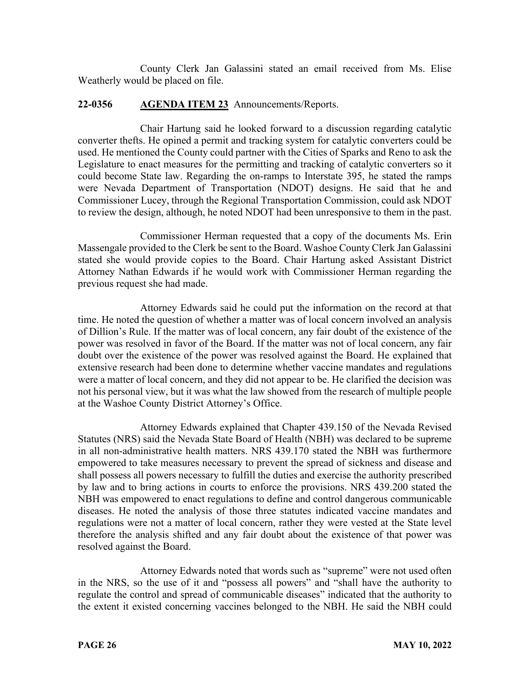County Clerk Jan Galassini stated an email received from Ms. Elise Weatherly would be placed on file.

### **22-0356 AGENDA ITEM 23** Announcements/Reports.

Chair Hartung said he looked forward to a discussion regarding catalytic converter thefts. He opined a permit and tracking system for catalytic converters could be used. He mentioned the County could partner with the Cities of Sparks and Reno to ask the Legislature to enact measures for the permitting and tracking of catalytic converters so it could become State law. Regarding the on-ramps to Interstate 395, he stated the ramps were Nevada Department of Transportation (NDOT) designs. He said that he and Commissioner Lucey, through the Regional Transportation Commission, could ask NDOT to review the design, although, he noted NDOT had been unresponsive to them in the past.

Commissioner Herman requested that a copy of the documents Ms. Erin Massengale provided to the Clerk be sent to the Board. Washoe County Clerk Jan Galassini stated she would provide copies to the Board. Chair Hartung asked Assistant District Attorney Nathan Edwards if he would work with Commissioner Herman regarding the previous request she had made.

Attorney Edwards said he could put the information on the record at that time. He noted the question of whether a matter was of local concern involved an analysis of Dillion's Rule. If the matter was of local concern, any fair doubt of the existence of the power was resolved in favor of the Board. If the matter was not of local concern, any fair doubt over the existence of the power was resolved against the Board. He explained that extensive research had been done to determine whether vaccine mandates and regulations were a matter of local concern, and they did not appear to be. He clarified the decision was not his personal view, but it was what the law showed from the research of multiple people at the Washoe County District Attorney's Office.

Attorney Edwards explained that Chapter 439.150 of the Nevada Revised Statutes (NRS) said the Nevada State Board of Health (NBH) was declared to be supreme in all non-administrative health matters. NRS 439.170 stated the NBH was furthermore empowered to take measures necessary to prevent the spread of sickness and disease and shall possess all powers necessary to fulfill the duties and exercise the authority prescribed by law and to bring actions in courts to enforce the provisions. NRS 439.200 stated the NBH was empowered to enact regulations to define and control dangerous communicable diseases. He noted the analysis of those three statutes indicated vaccine mandates and regulations were not a matter of local concern, rather they were vested at the State level therefore the analysis shifted and any fair doubt about the existence of that power was resolved against the Board.

Attorney Edwards noted that words such as "supreme" were not used often in the NRS, so the use of it and "possess all powers" and "shall have the authority to regulate the control and spread of communicable diseases" indicated that the authority to the extent it existed concerning vaccines belonged to the NBH. He said the NBH could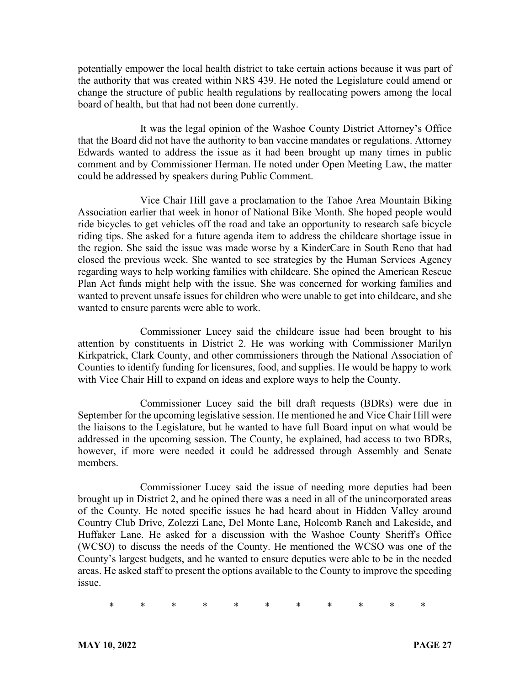potentially empower the local health district to take certain actions because it was part of the authority that was created within NRS 439. He noted the Legislature could amend or change the structure of public health regulations by reallocating powers among the local board of health, but that had not been done currently.

It was the legal opinion of the Washoe County District Attorney's Office that the Board did not have the authority to ban vaccine mandates or regulations. Attorney Edwards wanted to address the issue as it had been brought up many times in public comment and by Commissioner Herman. He noted under Open Meeting Law, the matter could be addressed by speakers during Public Comment.

Vice Chair Hill gave a proclamation to the Tahoe Area Mountain Biking Association earlier that week in honor of National Bike Month. She hoped people would ride bicycles to get vehicles off the road and take an opportunity to research safe bicycle riding tips. She asked for a future agenda item to address the childcare shortage issue in the region. She said the issue was made worse by a KinderCare in South Reno that had closed the previous week. She wanted to see strategies by the Human Services Agency regarding ways to help working families with childcare. She opined the American Rescue Plan Act funds might help with the issue. She was concerned for working families and wanted to prevent unsafe issues for children who were unable to get into childcare, and she wanted to ensure parents were able to work.

Commissioner Lucey said the childcare issue had been brought to his attention by constituents in District 2. He was working with Commissioner Marilyn Kirkpatrick, Clark County, and other commissioners through the National Association of Counties to identify funding for licensures, food, and supplies. He would be happy to work with Vice Chair Hill to expand on ideas and explore ways to help the County.

Commissioner Lucey said the bill draft requests (BDRs) were due in September for the upcoming legislative session. He mentioned he and Vice Chair Hill were the liaisons to the Legislature, but he wanted to have full Board input on what would be addressed in the upcoming session. The County, he explained, had access to two BDRs, however, if more were needed it could be addressed through Assembly and Senate members.

Commissioner Lucey said the issue of needing more deputies had been brought up in District 2, and he opined there was a need in all of the unincorporated areas of the County. He noted specific issues he had heard about in Hidden Valley around Country Club Drive, Zolezzi Lane, Del Monte Lane, Holcomb Ranch and Lakeside, and Huffaker Lane. He asked for a discussion with the Washoe County Sheriff's Office (WCSO) to discuss the needs of the County. He mentioned the WCSO was one of the County's largest budgets, and he wanted to ensure deputies were able to be in the needed areas. He asked staff to present the options available to the County to improve the speeding issue.

\* \* \* \* \* \* \* \* \* \* \*